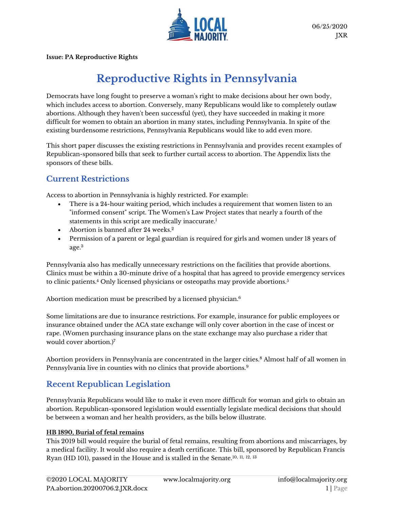

**Issue: PA Reproductive Rights**

# **Reproductive Rights in Pennsylvania**

Democrats have long fought to preserve a woman's right to make decisions about her own body, which includes access to abortion. Conversely, many Republicans would like to completely outlaw abortions. Although they haven't been successful (yet), they have succeeded in making it more difficult for women to obtain an abortion in many states, including Pennsylvania. In spite of the existing burdensome restrictions, Pennsylvania Republicans would like to add even more.

This short paper discusses the existing restrictions in Pennsylvania and provides recent examples of Republican-sponsored bills that seek to further curtail access to abortion. The Appendix lists the sponsors of these bills.

# **Current Restrictions**

Access to abortion in Pennsylvania is highly restricted. For example:

- There is a 24-hour waiting period, which includes a requirement that women listen to an "informed consent" script. The Women's Law Project states that nearly a fourth of the statements in this script are medically inaccurate.<sup>1</sup>
- Abortion is banned after 24 weeks. 2
- Permission of a parent or legal guardian is required for girls and women under 18 years of age. 3

Pennsylvania also has medically unnecessary restrictions on the facilities that provide abortions. Clinics must be within a 30-minute drive of a hospital that has agreed to provide emergency services to clinic patients.<sup>4</sup> Only licensed physicians or osteopaths may provide abortions.<sup>5</sup>

Abortion medication must be prescribed by a licensed physician.<sup>6</sup>

Some limitations are due to insurance restrictions. For example, insurance for public employees or insurance obtained under the ACA state exchange will only cover abortion in the case of incest or rape. (Women purchasing insurance plans on the state exchange may also purchase a rider that would cover abortion.) 7

Abortion providers in Pennsylvania are concentrated in the larger cities.<sup>8</sup> Almost half of all women in Pennsylvania live in counties with no clinics that provide abortions.<sup>9</sup>

# **Recent Republican Legislation**

Pennsylvania Republicans would like to make it even more difficult for woman and girls to obtain an abortion. Republican-sponsored legislation would essentially legislate medical decisions that should be between a woman and her health providers, as the bills below illustrate.

## **HB 1890, Burial of fetal remains**

This 2019 bill would require the burial of fetal remains, resulting from abortions and miscarriages, by a medical facility. It would also require a death certificate. This bill, sponsored by Republican Francis Ryan (HD 101), passed in the House and is stalled in the Senate.<sup>10, 11, 12, 13</sup>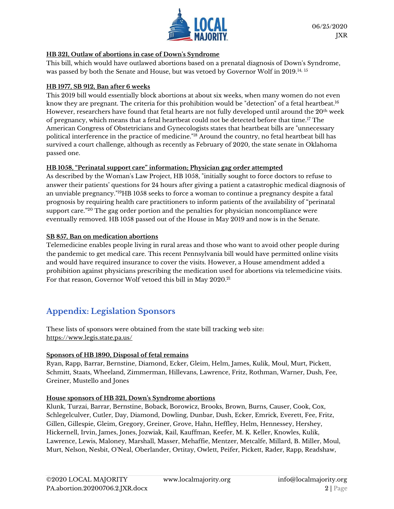

## **HB 321, Outlaw of abortions in case of Down's Syndrome**

This bill, which would have outlawed abortions based on a prenatal diagnosis of Down's Syndrome, was passed by both the Senate and House, but was vetoed by Governor Wolf in 2019.14, <sup>15</sup>

## **HB 1977, SB 912, Ban after 6 weeks**

This 2019 bill would essentially block abortions at about six weeks, when many women do not even know they are pregnant. The criteria for this prohibition would be "detection" of a fetal heartbeat.<sup>16</sup> However, researchers have found that fetal hearts are not fully developed until around the 20<sup>th</sup> week of pregnancy, which means that a fetal heartbeat could not be detected before that time.<sup>17</sup> The American Congress of Obstetricians and Gynecologists states that heartbeat bills are "unnecessary political interference in the practice of medicine."<sup>18</sup> Around the country, no fetal heartbeat bill has survived a court challenge, although as recently as February of 2020, the state senate in Oklahoma passed one.

## **HB 1058, "Perinatal support care" information; Physician gag order attempted**

As described by the Woman's Law Project, HB 1058, "initially sought to force doctors to refuse to answer their patients' questions for 24 hours after giving a patient a catastrophic medical diagnosis of an unviable pregnancy." <sup>19</sup>HB 1058 seeks to force a woman to continue a pregnancy despite a fatal prognosis by requiring health care practitioners to inform patients of the availability of "perinatal support care." <sup>20</sup> The gag order portion and the penalties for physician noncompliance were eventually removed. HB 1058 passed out of the House in May 2019 and now is in the Senate.

## **SB 857, Ban on medication abortions**

Telemedicine enables people living in rural areas and those who want to avoid other people during the pandemic to get medical care. This recent Pennsylvania bill would have permitted online visits and would have required insurance to cover the visits. However, a House amendment added a prohibition against physicians prescribing the medication used for abortions via telemedicine visits. For that reason, Governor Wolf vetoed this bill in May 2020. 21

# **Appendix: Legislation Sponsors**

These lists of sponsors were obtained from the state bill tracking web site: <https://www.legis.state.pa.us/>

## **Sponsors of HB 1890, Disposal of fetal remains**

Ryan, Rapp, Barrar, Bernstine, Diamond, Ecker, Gleim, Helm, James, Kulik, Moul, Murt, Pickett, Schmitt, Staats, Wheeland, Zimmerman, Hillevans, Lawrence, Fritz, Rothman, Warner, Dush, Fee, Greiner, Mustello and Jones

#### **House sponsors of HB 321, Down's Syndrome abortions**

Klunk, Turzai, Barrar, Bernstine, Boback, Borowicz, Brooks, Brown, Burns, Causer, Cook, Cox, Schlegelculver, Cutler, Day, Diamond, Dowling, Dunbar, Dush, Ecker, Emrick, Everett, Fee, Fritz, Gillen, Gillespie, Gleim, Gregory, Greiner, Grove, Hahn, Heffley, Helm, Hennessey, Hershey, Hickernell, Irvin, James, Jones, Jozwiak, Kail, Kauffman, Keefer, M. K. Keller, Knowles, Kulik, Lawrence, Lewis, Maloney, Marshall, Masser, Mehaffie, Mentzer, Metcalfe, Millard, B. Miller, Moul, Murt, Nelson, Nesbit, O'Neal, Oberlander, Ortitay, Owlett, Peifer, Pickett, Rader, Rapp, Readshaw,